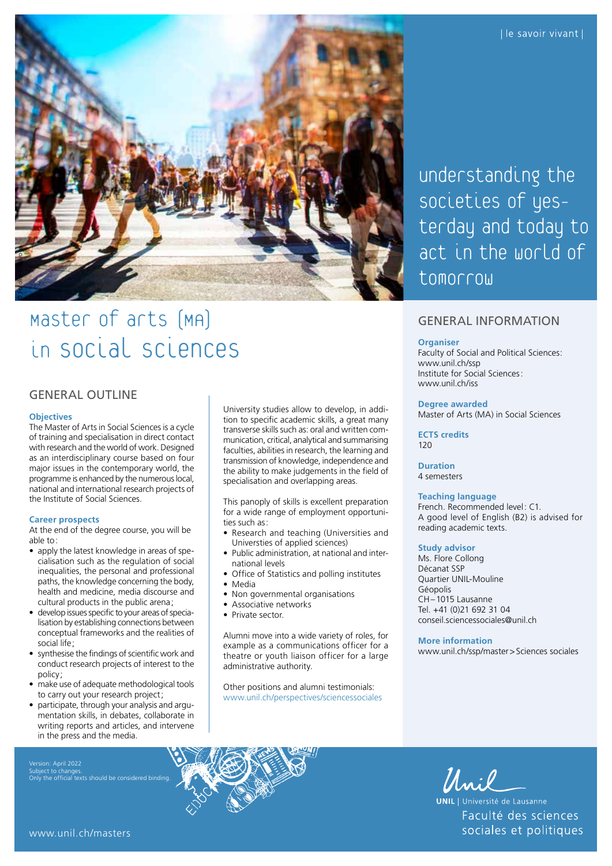

# Master of arts (MA) in Social Sciences

# GENERAL OUTLINE

#### **Objectives**

The Master of Arts in Social Sciences is a cycle of training and specialisation in direct contact with research and the world of work. Designed as an interdisciplinary course based on four major issues in the contemporary world, the programme is enhanced by the numerous local, national and international research projects of the Institute of Social Sciences.

#### **Career prospects**

At the end of the degree course, you will be able to:

- apply the latest knowledge in areas of specialisation such as the regulation of social inequalities, the personal and professional paths, the knowledge concerning the body, health and medicine, media discourse and cultural products in the public arena;
- develop issues specific to your areas of specialisation by establishing connections between conceptual frameworks and the realities of social life;
- synthesise the findings of scientific work and conduct research projects of interest to the policy;
- make use of adequate methodological tools to carry out your research project;
- participate, through your analysis and argumentation skills, in debates, collaborate in writing reports and articles, and intervene in the press and the media.

Subject to changes. Only the official texts should be considered binding.

University studies allow to develop, in addition to specific academic skills, a great many transverse skills such as: oral and written communication, critical, analytical and summarising faculties, abilities in research, the learning and transmission of knowledge, independence and the ability to make judgements in the field of specialisation and overlapping areas.

This panoply of skills is excellent preparation for a wide range of employment opportunities such as:

- Research and teaching (Universities and Universties of applied sciences)
- Public administration, at national and international levels
- Office of Statistics and polling institutes
- Media
- Non governmental organisations
- Associative networks
- Private sector.

Alumni move into a wide variety of roles, for example as a communications officer for a theatre or youth liaison officer for a large administrative authority.

Other positions and alumni testimonials: [www.unil.ch/perspectives/sciencessociales](http://www.unil.ch/perspectives/sciencessociales) understanding the societies of yesterday and today to act in the world of tomorrow

# GENERAL INFORMATION

#### **Organiser**

Faculty of Social and Political Sciences: [www.unil.ch/ssp](http://www.unil.ch/ssp) Institute for Social Sciences: [www.unil.ch/iss](http://www.unil.ch/iss)

#### **Degree awarded**

Master of Arts (MA) in Social Sciences

**ECTS credits** 120

# **Duration**

4 semesters

#### **Teaching language**

French. Recommended level: C1. A good level of English (B2) is advised for reading academic texts.

#### **Study advisor**

Ms. Flore Collong Décanat SSP Quartier UNIL-Mouline Géopolis CH–1015 Lausanne Tel. +41 (0)21 692 31 04 [conseil.sciencessociales@unil.ch](mailto:conseil.sciencessociales@unil.ch)

#### **More information**

[www.unil.ch/ssp/master](http://www.unil.ch/ssp/master)>Sciences sociales



Unil

**UNIL** | Université de Lausanne Faculté des sciences sociales et politiques